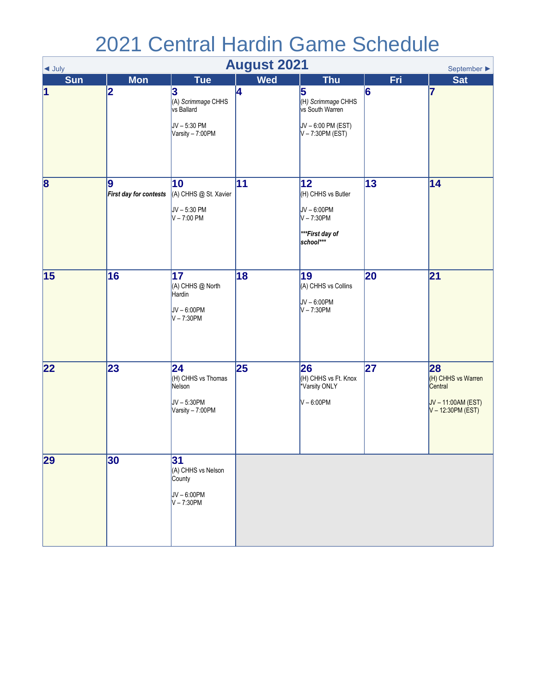## 2021 Central Hardin Game Schedule

| <b>August 2021</b><br>September $\blacktriangleright$<br>$\triangleleft$ July |                             |                                                                         |            |                                                                                            |            |                                                                                |  |
|-------------------------------------------------------------------------------|-----------------------------|-------------------------------------------------------------------------|------------|--------------------------------------------------------------------------------------------|------------|--------------------------------------------------------------------------------|--|
| <b>Sun</b>                                                                    | <b>Mon</b>                  | <b>Tue</b>                                                              | <b>Wed</b> | <b>Thu</b>                                                                                 | <b>Fri</b> | <b>Sat</b>                                                                     |  |
| $\vert$ 1                                                                     | 2                           | 3<br>(A) Scrimmage CHHS<br>vs Ballard<br>JV-5:30 PM<br>Varsity - 7:00PM | 4          | 5<br>(H) Scrimmage CHHS<br>vs South Warren<br>$JV - 6:00 PM (EST)$<br>$V - 7:30PM$ (EST)   | 6          | 17                                                                             |  |
| $\overline{\mathbf{8}}$                                                       | 9<br>First day for contests | 10<br>(A) CHHS @ St. Xavier<br>$JV - 5:30 PM$<br>$V - 7:00$ PM          | 11         | 12 <br>(H) CHHS vs Butler<br>$JV - 6:00PM$<br>$V - 7:30PM$<br>***First day of<br>school*** | 13         | 14                                                                             |  |
| 15                                                                            | 16                          | 17<br>(A) CHHS @ North<br>Hardin<br>$JV - 6:00PM$<br>$V - 7:30PM$       | 18         | 19<br>(A) CHHS vs Collins<br>$JV - 6:00PM$<br>$V - 7:30PM$                                 | 20         | 21                                                                             |  |
| $ 22\rangle$                                                                  | 23                          | 24<br>(H) CHHS vs Thomas<br>Nelson<br>JV-5:30PM<br>Varsity - 7:00PM     | 25         | 26<br>(H) CHHS vs Ft. Knox<br>*Varsity ONLY<br>$V - 6:00PM$                                | 27         | 28<br>(H) CHHS vs Warren<br>Central<br>JV-11:00AM (EST)<br>$V - 12:30PM (EST)$ |  |
| 29                                                                            | 30                          | 31<br>(A) CHHS vs Nelson<br>County<br>JV-6:00PM<br>$V - 7:30PM$         |            |                                                                                            |            |                                                                                |  |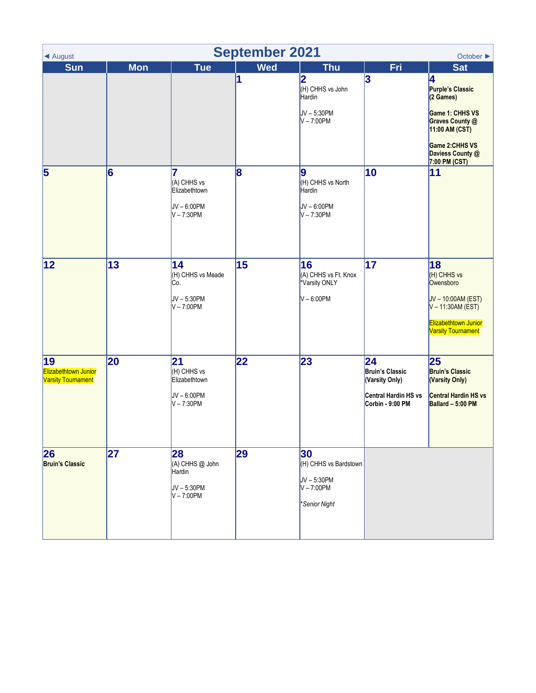| <b>September 2021</b><br>October $\blacktriangleright$<br>◀ August |            |                                                                     |            |                                                                               |                                                                                            |                                                                                                                                                   |  |
|--------------------------------------------------------------------|------------|---------------------------------------------------------------------|------------|-------------------------------------------------------------------------------|--------------------------------------------------------------------------------------------|---------------------------------------------------------------------------------------------------------------------------------------------------|--|
| <b>Sun</b>                                                         | <b>Mon</b> | <b>Tue</b>                                                          | <b>Wed</b> | <b>Thu</b>                                                                    | <b>Fri</b>                                                                                 | <b>Sat</b>                                                                                                                                        |  |
|                                                                    |            |                                                                     | 1          | 2<br>(H) CHHS vs John<br>Hardin<br>JV-5:30PM<br>$V - 7:00PM$                  | 3                                                                                          | 4<br>Purple's Classic<br>(2 Games)<br>Game 1: CHHS VS<br>Graves County @<br>11:00 AM (CST)<br>Game 2:CHHS VS<br>Daviess County @<br>7:00 PM (CST) |  |
| $\overline{\mathbf{5}}$                                            | 6          | 7<br>(A) CHHS vs<br>Elizabethtown<br>$JV - 6:00PM$<br>$V - 7:30PM$  | 8          | 9<br>(H) CHHS vs North<br>Hardin<br>$JV - 6:00PM$<br>$V - 7:30PM$             | 10                                                                                         | 11                                                                                                                                                |  |
| 12                                                                 | 13         | 14<br>(H) CHHS vs Meade<br>Co.<br>JV-5:30PM<br>$V - 7:00PM$         | 15         | 16<br>(A) CHHS vs Ft. Knox<br>Varsity ONLY<br>$V - 6:00PM$                    | 17                                                                                         | 18<br>(H) CHHS vs<br>Owensboro<br>JV-10:00AM (EST)<br>$V - 11:30AM (EST)$<br>Elizabethtown Junior<br><b>Varsity Tournament</b>                    |  |
| 19 <br>Elizabethtown Junior<br><b>Varsity Tournament</b>           | 20         | 21<br>(H) CHHS vs<br>Elizabethtown<br>$JV - 6:00PM$<br>$V - 7:30PM$ | 22         | 23                                                                            | 24<br><b>Bruin's Classic</b><br>(Varsity Only)<br>Central Hardin HS vs<br>Corbin - 9:00 PM | 25<br><b>Bruin's Classic</b><br>(Varsity Only)<br><b>Central Hardin HS vs</b><br>Ballard - 5:00 PM                                                |  |
| 26<br><b>Bruin's Classic</b>                                       | 27         | 28<br>(A) CHHS @ John<br>Hardin<br>$JV - 5:30PM$<br>$V - 7:00PM$    | 29         | 30<br>(H) CHHS vs Bardstown<br>$JV - 5:30PM$<br>$V - 7:00PM$<br>*Senior Night |                                                                                            |                                                                                                                                                   |  |